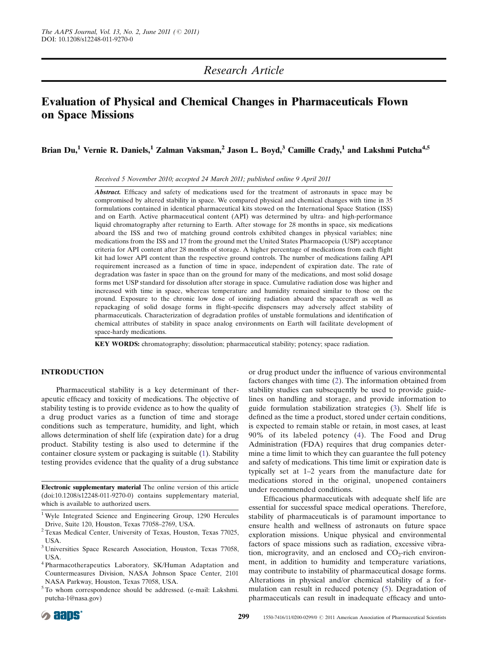# Research Article

# Evaluation of Physical and Chemical Changes in Pharmaceuticals Flown on Space Missions

Brian Du,<sup>1</sup> Vernie R. Daniels,<sup>1</sup> Zalman Vaksman,<sup>2</sup> Jason L. Boyd,<sup>3</sup> Camille Crady,<sup>1</sup> and Lakshmi Putcha<sup>4,5</sup>

Received 5 November 2010; accepted 24 March 2011; published online 9 April 2011

Abstract. Efficacy and safety of medications used for the treatment of astronauts in space may be compromised by altered stability in space. We compared physical and chemical changes with time in 35 formulations contained in identical pharmaceutical kits stowed on the International Space Station (ISS) and on Earth. Active pharmaceutical content (API) was determined by ultra- and high-performance liquid chromatography after returning to Earth. After stowage for 28 months in space, six medications aboard the ISS and two of matching ground controls exhibited changes in physical variables; nine medications from the ISS and 17 from the ground met the United States Pharmacopeia (USP) acceptance criteria for API content after 28 months of storage. A higher percentage of medications from each flight kit had lower API content than the respective ground controls. The number of medications failing API requirement increased as a function of time in space, independent of expiration date. The rate of degradation was faster in space than on the ground for many of the medications, and most solid dosage forms met USP standard for dissolution after storage in space. Cumulative radiation dose was higher and increased with time in space, whereas temperature and humidity remained similar to those on the ground. Exposure to the chronic low dose of ionizing radiation aboard the spacecraft as well as repackaging of solid dosage forms in flight-specific dispensers may adversely affect stability of pharmaceuticals. Characterization of degradation profiles of unstable formulations and identification of chemical attributes of stability in space analog environments on Earth will facilitate development of space-hardy medications.

KEY WORDS: chromatography; dissolution; pharmaceutical stability; potency; space radiation.

#### INTRODUCTION

Pharmaceutical stability is a key determinant of therapeutic efficacy and toxicity of medications. The objective of stability testing is to provide evidence as to how the quality of a drug product varies as a function of time and storage conditions such as temperature, humidity, and light, which allows determination of shelf life (expiration date) for a drug product. Stability testing is also used to determine if the container closure system or packaging is suitable ([1](#page-9-0)). Stability testing provides evidence that the quality of a drug substance

Electronic supplementary material The online version of this article (doi[:10.1208/s12248-011-9270-0\)](http://dx.doi.org/10.1208/s12248-011-9270-0) contains supplementary material, which is available to authorized users.

- <sup>1</sup> Wyle Integrated Science and Engineering Group, 1290 Hercules
- Drive, Suite 120, Houston, Texas 77058–2769, USA. <sup>2</sup> Texas Medical Center, University of Texas, Houston, Texas 77025, USA.
- <sup>3</sup> Universities Space Research Association, Houston, Texas 77058, USA.
- <sup>4</sup> Pharmacotherapeutics Laboratory, SK/Human Adaptation and Countermeasures Division, NASA Johnson Space Center, 2101 NASA Parkway, Houston, Texas 77058, USA.
- <sup>5</sup> To whom correspondence should be addressed. (e-mail: Lakshmi. putcha-1@nasa.gov)

or drug product under the influence of various environmental factors changes with time ([2](#page-9-0)). The information obtained from stability studies can subsequently be used to provide guidelines on handling and storage, and provide information to guide formulation stabilization strategies [\(3\)](#page-9-0). Shelf life is defined as the time a product, stored under certain conditions, is expected to remain stable or retain, in most cases, at least 90% of its labeled potency ([4](#page-9-0)). The Food and Drug Administration (FDA) requires that drug companies determine a time limit to which they can guarantee the full potency and safety of medications. This time limit or expiration date is typically set at 1–2 years from the manufacture date for medications stored in the original, unopened containers under recommended conditions.

Efficacious pharmaceuticals with adequate shelf life are essential for successful space medical operations. Therefore, stability of pharmaceuticals is of paramount importance to ensure health and wellness of astronauts on future space exploration missions. Unique physical and environmental factors of space missions such as radiation, excessive vibration, microgravity, and an enclosed and  $CO<sub>2</sub>$ -rich environment, in addition to humidity and temperature variations, may contribute to instability of pharmaceutical dosage forms. Alterations in physical and/or chemical stability of a formulation can result in reduced potency ([5](#page-9-0)). Degradation of pharmaceuticals can result in inadequate efficacy and unto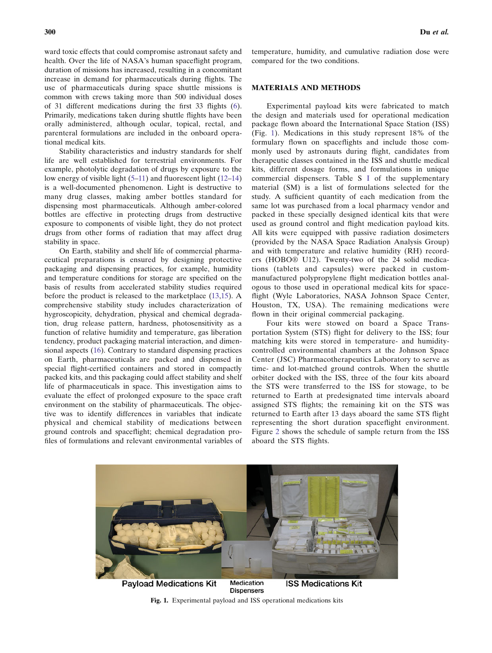ward toxic effects that could compromise astronaut safety and health. Over the life of NASA's human spaceflight program, duration of missions has increased, resulting in a concomitant increase in demand for pharmaceuticals during flights. The use of pharmaceuticals during space shuttle missions is common with crews taking more than 500 individual doses of 31 different medications during the first 33 flights ([6](#page-9-0)). Primarily, medications taken during shuttle flights have been orally administered, although ocular, topical, rectal, and parenteral formulations are included in the onboard operational medical kits.

Stability characteristics and industry standards for shelf life are well established for terrestrial environments. For example, photolytic degradation of drugs by exposure to the low energy of visible light ([5](#page-9-0)–[11](#page-9-0)) and fluorescent light [\(12](#page-9-0)–[14](#page-9-0)) is a well-documented phenomenon. Light is destructive to many drug classes, making amber bottles standard for dispensing most pharmaceuticals. Although amber-colored bottles are effective in protecting drugs from destructive exposure to components of visible light, they do not protect drugs from other forms of radiation that may affect drug stability in space.

On Earth, stability and shelf life of commercial pharmaceutical preparations is ensured by designing protective packaging and dispensing practices, for example, humidity and temperature conditions for storage are specified on the basis of results from accelerated stability studies required before the product is released to the marketplace [\(13](#page-9-0),[15\)](#page-9-0). A comprehensive stability study includes characterization of hygroscopicity, dehydration, physical and chemical degradation, drug release pattern, hardness, photosensitivity as a function of relative humidity and temperature, gas liberation tendency, product packaging material interaction, and dimensional aspects [\(16](#page-9-0)). Contrary to standard dispensing practices on Earth, pharmaceuticals are packed and dispensed in special flight-certified containers and stored in compactly packed kits, and this packaging could affect stability and shelf life of pharmaceuticals in space. This investigation aims to evaluate the effect of prolonged exposure to the space craft environment on the stability of pharmaceuticals. The objective was to identify differences in variables that indicate physical and chemical stability of medications between ground controls and spaceflight; chemical degradation profiles of formulations and relevant environmental variables of

temperature, humidity, and cumulative radiation dose were compared for the two conditions.

#### MATERIALS AND METHODS

Experimental payload kits were fabricated to match the design and materials used for operational medication package flown aboard the International Space Station (ISS) (Fig. 1). Medications in this study represent 18% of the formulary flown on spaceflights and include those commonly used by astronauts during flight, candidates from therapeutic classes contained in the ISS and shuttle medical kits, different dosage forms, and formulations in unique commercial dispensers. Table S I of the supplementary material (SM) is a list of formulations selected for the study. A sufficient quantity of each medication from the same lot was purchased from a local pharmacy vendor and packed in these specially designed identical kits that were used as ground control and flight medication payload kits. All kits were equipped with passive radiation dosimeters (provided by the NASA Space Radiation Analysis Group) and with temperature and relative humidity (RH) recorders (HOBO® U12). Twenty-two of the 24 solid medications (tablets and capsules) were packed in custommanufactured polypropylene flight medication bottles analogous to those used in operational medical kits for spaceflight (Wyle Laboratories, NASA Johnson Space Center, Houston, TX, USA). The remaining medications were flown in their original commercial packaging.

Four kits were stowed on board a Space Transportation System (STS) flight for delivery to the ISS; four matching kits were stored in temperature- and humiditycontrolled environmental chambers at the Johnson Space Center (JSC) Pharmacotherapeutics Laboratory to serve as time- and lot-matched ground controls. When the shuttle orbiter docked with the ISS, three of the four kits aboard the STS were transferred to the ISS for stowage, to be returned to Earth at predesignated time intervals aboard assigned STS flights; the remaining kit on the STS was returned to Earth after 13 days aboard the same STS flight representing the short duration spaceflight environment. Figure [2](#page-2-0) shows the schedule of sample return from the ISS aboard the STS flights.



Medication **Payload Medications Kit ISS Medications Kit Dispensers** 

Fig. 1. Experimental payload and ISS operational medications kits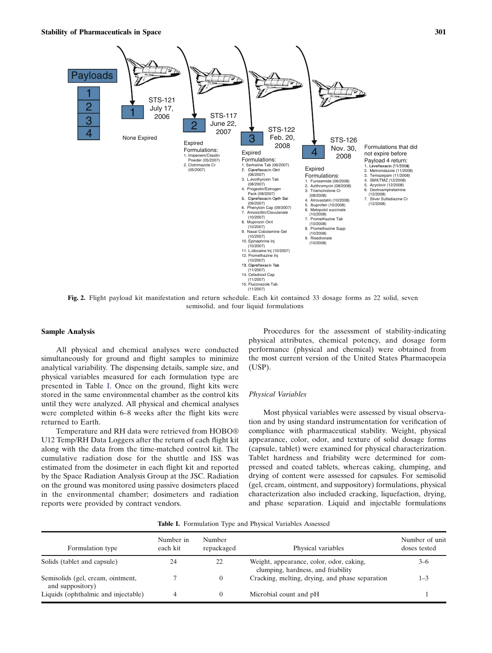<span id="page-2-0"></span>

Fig. 2. Flight payload kit manifestation and return schedule. Each kit contained 33 dosage forms as 22 solid, seven semisolid, and four liquid formulations

#### Sample Analysis

All physical and chemical analyses were conducted simultaneously for ground and flight samples to minimize analytical variability. The dispensing details, sample size, and physical variables measured for each formulation type are presented in Table I. Once on the ground, flight kits were stored in the same environmental chamber as the control kits until they were analyzed. All physical and chemical analyses were completed within 6–8 weeks after the flight kits were returned to Earth.

Temperature and RH data were retrieved from HOBO® U12 Temp/RH Data Loggers after the return of each flight kit along with the data from the time-matched control kit. The cumulative radiation dose for the shuttle and ISS was estimated from the dosimeter in each flight kit and reported by the Space Radiation Analysis Group at the JSC. Radiation on the ground was monitored using passive dosimeters placed in the environmental chamber; dosimeters and radiation reports were provided by contract vendors.

Procedures for the assessment of stability-indicating physical attributes, chemical potency, and dosage form performance (physical and chemical) were obtained from the most current version of the United States Pharmacopeia (USP).

#### Physical Variables

Most physical variables were assessed by visual observation and by using standard instrumentation for verification of compliance with pharmaceutical stability. Weight, physical appearance, color, odor, and texture of solid dosage forms (capsule, tablet) were examined for physical characterization. Tablet hardness and friability were determined for compressed and coated tablets, whereas caking, clumping, and drying of content were assessed for capsules. For semisolid (gel, cream, ointment, and suppository) formulations, physical characterization also included cracking, liquefaction, drying, and phase separation. Liquid and injectable formulations

|  |  |  |  | Table I. Formulation Type and Physical Variables Assessed |
|--|--|--|--|-----------------------------------------------------------|
|--|--|--|--|-----------------------------------------------------------|

| Formulation type                                      | Number in<br>each kit | Number<br>repackaged | Physical variables                                                             | Number of unit<br>doses tested |
|-------------------------------------------------------|-----------------------|----------------------|--------------------------------------------------------------------------------|--------------------------------|
| Solids (tablet and capsule)                           | 24                    | 22                   | Weight, appearance, color, odor, caking,<br>clumping, hardness, and friability | $3 - 6$                        |
| Semisolids (gel, cream, ointment,<br>and suppository) |                       | $\left($             | Cracking, melting, drying, and phase separation                                | $1 - 3$                        |
| Liquids (ophthalmic and injectable)                   | 4                     | $\theta$             | Microbial count and pH                                                         |                                |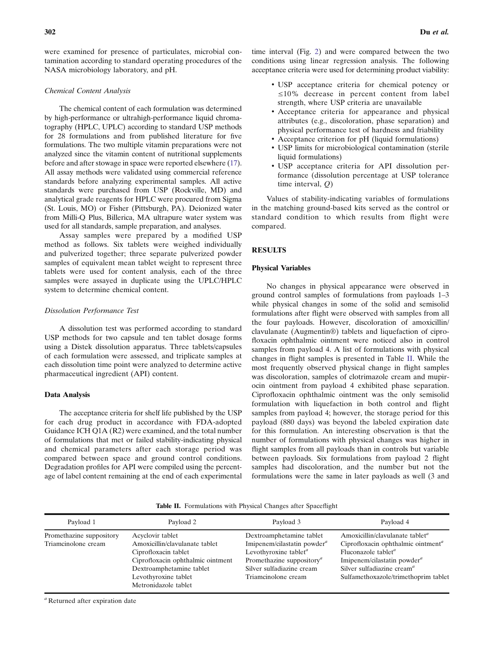were examined for presence of particulates, microbial contamination according to standard operating procedures of the NASA microbiology laboratory, and pH.

#### Chemical Content Analysis

The chemical content of each formulation was determined by high-performance or ultrahigh-performance liquid chromatography (HPLC, UPLC) according to standard USP methods for 28 formulations and from published literature for five formulations. The two multiple vitamin preparations were not analyzed since the vitamin content of nutritional supplements before and after stowage in space were reported elsewhere ([17](#page-9-0)). All assay methods were validated using commercial reference standards before analyzing experimental samples. All active standards were purchased from USP (Rockville, MD) and analytical grade reagents for HPLC were procured from Sigma (St. Louis, MO) or Fisher (Pittsburgh, PA). Deionized water from Milli-Q Plus, Billerica, MA ultrapure water system was used for all standards, sample preparation, and analyses.

Assay samples were prepared by a modified USP method as follows. Six tablets were weighed individually and pulverized together; three separate pulverized powder samples of equivalent mean tablet weight to represent three tablets were used for content analysis, each of the three samples were assayed in duplicate using the UPLC/HPLC system to determine chemical content.

#### Dissolution Performance Test

A dissolution test was performed according to standard USP methods for two capsule and ten tablet dosage forms using a Distek dissolution apparatus. Three tablets/capsules of each formulation were assessed, and triplicate samples at each dissolution time point were analyzed to determine active pharmaceutical ingredient (API) content.

#### Data Analysis

The acceptance criteria for shelf life published by the USP for each drug product in accordance with FDA-adopted Guidance ICH Q1A (R2) were examined, and the total number of formulations that met or failed stability-indicating physical and chemical parameters after each storage period was compared between space and ground control conditions. Degradation profiles for API were compiled using the percentage of label content remaining at the end of each experimental

- & USP acceptance criteria for chemical potency or ≤10% decrease in percent content from label strength, where USP criteria are unavailable
- & Acceptance criteria for appearance and physical attributes (e.g., discoloration, phase separation) and physical performance test of hardness and friability
- & Acceptance criterion for pH (liquid formulations)
- & USP limits for microbiological contamination (sterile liquid formulations)
- & USP acceptance criteria for API dissolution performance (dissolution percentage at USP tolerance time interval, Q)

Values of stability-indicating variables of formulations in the matching ground-based kits served as the control or standard condition to which results from flight were compared.

#### RESULTS

#### Physical Variables

No changes in physical appearance were observed in ground control samples of formulations from payloads 1–3 while physical changes in some of the solid and semisolid formulations after flight were observed with samples from all the four payloads. However, discoloration of amoxicillin/ clavulanate (Augmentin®) tablets and liquefaction of ciprofloxacin ophthalmic ointment were noticed also in control samples from payload 4. A list of formulations with physical changes in flight samples is presented in Table II. While the most frequently observed physical change in flight samples was discoloration, samples of clotrimazole cream and mupirocin ointment from payload 4 exhibited phase separation. Ciprofloxacin ophthalmic ointment was the only semisolid formulation with liquefaction in both control and flight samples from payload 4; however, the storage period for this payload (880 days) was beyond the labeled expiration date for this formulation. An interesting observation is that the number of formulations with physical changes was higher in flight samples from all payloads than in controls but variable between payloads. Six formulations from payload 2 flight samples had discoloration, and the number but not the formulations were the same in later payloads as well (3 and

Table II. Formulations with Physical Changes after Spaceflight

| Payload 1                                       | Payload 2                                                                                                                                                                                   | Payload 3                                                                                                                                                                                                        | Payload 4                                                                                                                                                                                                                                                          |
|-------------------------------------------------|---------------------------------------------------------------------------------------------------------------------------------------------------------------------------------------------|------------------------------------------------------------------------------------------------------------------------------------------------------------------------------------------------------------------|--------------------------------------------------------------------------------------------------------------------------------------------------------------------------------------------------------------------------------------------------------------------|
| Promethazine suppository<br>Triamcinolone cream | Acyclovir tablet<br>Amoxicillin/clavulanate tablet<br>Ciprofloxacin tablet<br>Ciprofloxacin ophthalmic ointment<br>Dextroamphetamine tablet<br>Levothyroxine tablet<br>Metronidazole tablet | Dextroamphetamine tablet<br>Imipenem/cilastatin powder $a$<br>Levothyroxine tablet <sup><math>a</math></sup><br>Promethazine suppository <sup><i>a</i></sup><br>Silver sulfadiazine cream<br>Triamcinolone cream | Amoxicillin/clavulanate tablet <sup><i>a</i></sup><br>Ciprofloxacin ophthalmic ointment <sup>a</sup><br>Fluconazole tablet <sup><i>a</i></sup><br>Imipenem/cilastatin powder $a$<br>Silver sulfadiazine cream <sup>a</sup><br>Sulfamethoxazole/trimethoprim tablet |

<sup>a</sup> Returned after expiration date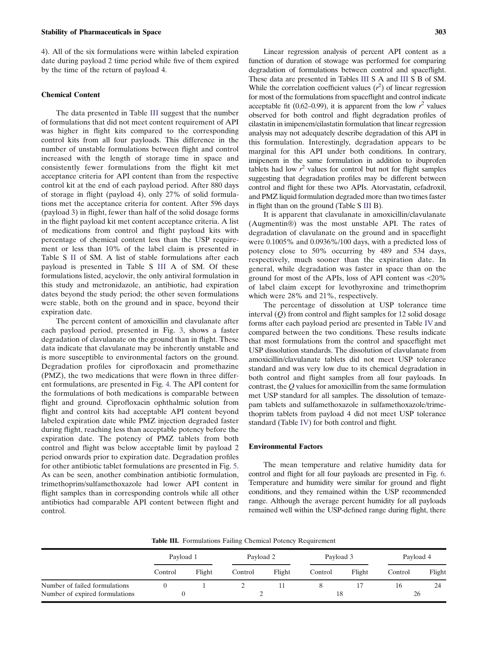#### <span id="page-4-0"></span>Stability of Pharmaceuticals in Space 303

4). All of the six formulations were within labeled expiration date during payload 2 time period while five of them expired by the time of the return of payload 4.

#### Chemical Content

The data presented in Table III suggest that the number of formulations that did not meet content requirement of API was higher in flight kits compared to the corresponding control kits from all four payloads. This difference in the number of unstable formulations between flight and control increased with the length of storage time in space and consistently fewer formulations from the flight kit met acceptance criteria for API content than from the respective control kit at the end of each payload period. After 880 days of storage in flight (payload 4), only 27% of solid formulations met the acceptance criteria for content. After 596 days (payload 3) in flight, fewer than half of the solid dosage forms in the flight payload kit met content acceptance criteria. A list of medications from control and flight payload kits with percentage of chemical content less than the USP requirement or less than 10% of the label claim is presented in Table S II of SM. A list of stable formulations after each payload is presented in Table S III A of SM. Of these formulations listed, acyclovir, the only antiviral formulation in this study and metronidazole, an antibiotic, had expiration dates beyond the study period; the other seven formulations were stable, both on the ground and in space, beyond their expiration date.

The percent content of amoxicillin and clavulanate after each payload period, presented in Fig. [3,](#page-5-0) shows a faster degradation of clavulanate on the ground than in flight. These data indicate that clavulanate may be inherently unstable and is more susceptible to environmental factors on the ground. Degradation profiles for ciprofloxacin and promethazine (PMZ), the two medications that were flown in three different formulations, are presented in Fig. [4](#page-5-0). The API content for the formulations of both medications is comparable between flight and ground. Ciprofloxacin ophthalmic solution from flight and control kits had acceptable API content beyond labeled expiration date while PMZ injection degraded faster during flight, reaching less than acceptable potency before the expiration date. The potency of PMZ tablets from both control and flight was below acceptable limit by payload 2 period onwards prior to expiration date. Degradation profiles for other antibiotic tablet formulations are presented in Fig. [5.](#page-6-0) As can be seen, another combination antibiotic formulation, trimethoprim/sulfamethoxazole had lower API content in flight samples than in corresponding controls while all other antibiotics had comparable API content between flight and control.

Linear regression analysis of percent API content as a function of duration of stowage was performed for comparing degradation of formulations between control and spaceflight. These data are presented in Tables III S A and III S B of SM. While the correlation coefficient values  $(r^2)$  of linear regression for most of the formulations from spaceflight and control indicate acceptable fit (0.62–0.99), it is apparent from the low  $r^2$  values observed for both control and flight degradation profiles of cilastatin in imipenem/cilastatin formulation that linear regression analysis may not adequately describe degradation of this API in this formulation. Interestingly, degradation appears to be marginal for this API under both conditions. In contrary, imipenem in the same formulation in addition to ibuprofen tablets had low  $r^2$  values for control but not for flight samples suggesting that degradation profiles may be different between control and flight for these two APIs. Atorvastatin, cefadroxil, and PMZ liquid formulation degraded more than two times faster in flight than on the ground (Table S III B).

It is apparent that clavulanate in amoxicillin/clavulanate (Augmentin®) was the most unstable API. The rates of degradation of clavulanate on the ground and in spaceflight were 0.1005% and 0.0936%/100 days, with a predicted loss of potency close to 50% occurring by 489 and 534 days, respectively, much sooner than the expiration date. In general, while degradation was faster in space than on the ground for most of the APIs, loss of API content was <20% of label claim except for levothyroxine and trimethoprim which were 28% and 21%, respectively.

The percentage of dissolution at USP tolerance time interval  $(Q)$  from control and flight samples for 12 solid dosage forms after each payload period are presented in Table [IV](#page-6-0) and compared between the two conditions. These results indicate that most formulations from the control and spaceflight met USP dissolution standards. The dissolution of clavulanate from amoxicillin/clavulanate tablets did not meet USP tolerance standard and was very low due to its chemical degradation in both control and flight samples from all four payloads. In contrast, the Q values for amoxicillin from the same formulation met USP standard for all samples. The dissolution of temazepam tablets and sulfamethoxazole in sulfamethoxazole/trimethoprim tablets from payload 4 did not meet USP tolerance standard (Table [IV\)](#page-6-0) for both control and flight.

#### Environmental Factors

The mean temperature and relative humidity data for control and flight for all four payloads are presented in Fig. [6.](#page-7-0) Temperature and humidity were similar for ground and flight conditions, and they remained within the USP recommended range. Although the average percent humidity for all payloads remained well within the USP-defined range during flight, there

Table III. Formulations Failing Chemical Potency Requirement

|                                | Payload 1 |        | Payload 2 |        | Payload 3 |        | Payload 4 |        |  |
|--------------------------------|-----------|--------|-----------|--------|-----------|--------|-----------|--------|--|
|                                | Control   | Flight | Control   | Flight | Control   | Flight | Control   | Flight |  |
| Number of failed formulations  |           |        |           |        |           |        | 16        | 24     |  |
| Number of expired formulations |           |        |           |        | 18        |        | 26        |        |  |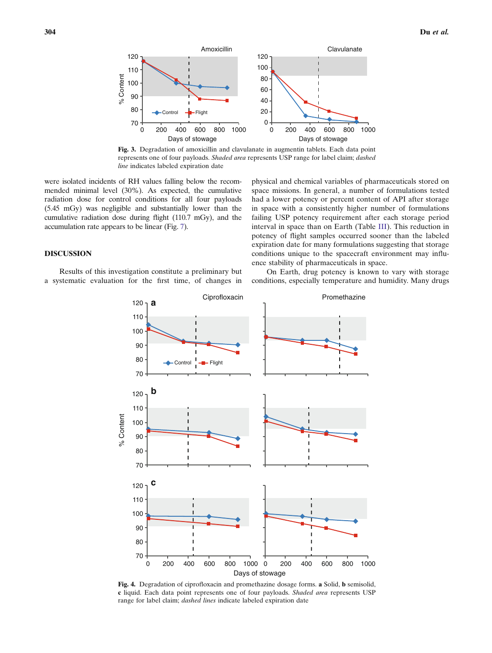<span id="page-5-0"></span>

Fig. 3. Degradation of amoxicillin and clavulanate in augmentin tablets. Each data point represents one of four payloads. Shaded area represents USP range for label claim; dashed line indicates labeled expiration date

were isolated incidents of RH values falling below the recommended minimal level (30%). As expected, the cumulative radiation dose for control conditions for all four payloads (5.45 mGy) was negligible and substantially lower than the cumulative radiation dose during flight (110.7 mGy), and the accumulation rate appears to be linear (Fig. [7\)](#page-7-0).

## space missions. In general, a number of formulations tested had a lower potency or percent content of API after storage in space with a consistently higher number of formulations failing USP potency requirement after each storage period interval in space than on Earth (Table [III](#page-4-0)). This reduction in potency of flight samples occurred sooner than the labeled expiration date for many formulations suggesting that storage conditions unique to the spacecraft environment may influence stability of pharmaceuticals in space.

physical and chemical variables of pharmaceuticals stored on

### DISCUSSION

Results of this investigation constitute a preliminary but a systematic evaluation for the first time, of changes in

On Earth, drug potency is known to vary with storage conditions, especially temperature and humidity. Many drugs



Fig. 4. Degradation of ciprofloxacin and promethazine dosage forms. a Solid, b semisolid, c liquid. Each data point represents one of four payloads. Shaded area represents USP range for label claim; dashed lines indicate labeled expiration date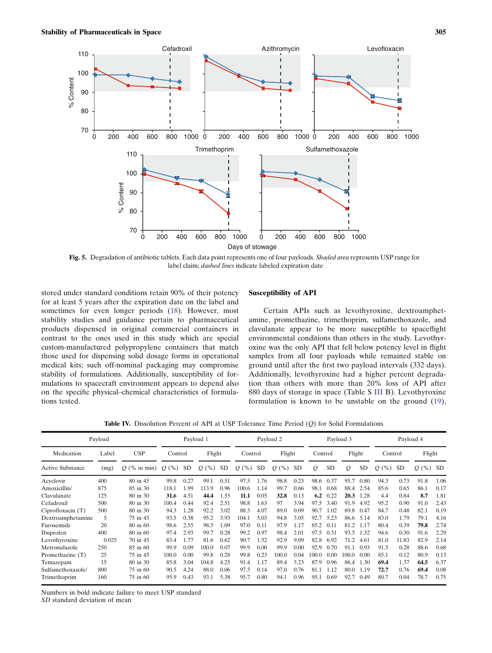<span id="page-6-0"></span>

Fig. 5. Degradation of antibiotic tablets. Each data point represents one of four payloads. Shaded area represents USP range for label claim; dashed lines indicate labeled expiration date

stored under standard conditions retain 90% of their potency for at least 5 years after the expiration date on the label and sometimes for even longer periods ([18](#page-9-0)). However, most stability studies and guidance pertain to pharmaceutical products dispensed in original commercial containers in contrast to the ones used in this study which are special custom-manufactured polypropylene containers that match those used for dispensing solid dosage forms in operational medical kits; such off-nominal packaging may compromise stability of formulations. Additionally, susceptibility of formulations to spacecraft environment appears to depend also on the specific physical–chemical characteristics of formulations tested.

#### Susceptibility of API

Certain APIs such as levothyroxine, dextroamphetamine, promethazine, trimethoprim, sulfamethoxazole, and clavulanate appear to be more susceptible to spaceflight environmental conditions than others in the study. Levothyroxine was the only API that fell below potency level in flight samples from all four payloads while remained stable on ground until after the first two payload intervals (332 days). Additionally, levothyroxine had a higher percent degradation than others with more than 20% loss of API after 880 days of storage in space (Table S III B). Levothyroxine formulation is known to be unstable on the ground [\(19](#page-9-0)),

Table IV. Dissolution Percent of API at USP Tolerance Time Period (Q) for Solid Formulations

| Payload                 |       |                | Payload 1           |           |         | Payload 2 |           |           |                     | Payload 3 |         |           |               | Payload 4 |         |           |            |      |
|-------------------------|-------|----------------|---------------------|-----------|---------|-----------|-----------|-----------|---------------------|-----------|---------|-----------|---------------|-----------|---------|-----------|------------|------|
| Medication              | Label | <b>USP</b>     | Control             |           | Flight  |           | Control   |           | Flight              |           | Control |           | Flight        |           | Control |           | Flight     |      |
| <b>Active Substance</b> | (mg)  | $O$ (% in min) | (% )<br>$Q_{\cdot}$ | <b>SD</b> | $Q(\%)$ | SD.       | (% )<br>Q | <b>SD</b> | $\frac{9}{6}$<br>Q( | <b>SD</b> | Q       | <b>SD</b> | $\mathcal{Q}$ | <b>SD</b> | $Q(\%)$ | <b>SD</b> | $Q(\%)$ SD |      |
| Acyclovir               | 400   | 80 in 45       | 99.8                | 0.27      | 99.1    | 0.51      | 97.5      | 1.76      | 98.8                | 0.23      | 98.6    | 0.37      | 95.7          | 0.80      | 94.3    | 0.73      | 91.8       | 1.06 |
| Amoxicillin/            | 875   | 85 in 30       | 118.1               | 1.99      | 113.9   | 0.96      | 100.6     | 1.14      | 99.7                | 0.66      | 98.1    | 0.68      | 88.4          | 2.54      | 85.6    | 0.65      | 86.1       | 0.17 |
| Clavulanate             | 125   | 80 in 30       | 31.6                | 4.51      | 44.4    | 1.55      | 11.1      | 0.05      | 32.8                | 0.13      | 6.2     | 0.22      | 20.3          | 1.28      | 4.4     | 0.84      | 8.7        | 1.81 |
| Cefadroxil              | 500   | 80 in 30       | 100.4               | 0.44      | 92.4    | 2.51      | 98.8      | 1.63      | 97                  | 3.94      | 97.5    | 3.40      | 91.9          | 4.92      | 95.2    | 0.90      | 91.0       | 2.43 |
| Ciprofloxacin (T)       | 500   | 80 in 30       | 94.3                | 1.28      | 92.2    | 3.02      | 88.3      | 4.07      | 89.0                | 0.09      | 90.7    | 1.02      | 89.8          | 0.47      | 84.7    | 0.48      | 82.1       | 0.19 |
| Dextroamphetamine       | 5     | 75 in 45       | 93.5                | 0.38      | 95.2    | 3.93      | 104.1     | 5.03      | 94.8                | 3.05      | 92.7    | 5.23      | 86.6          | 5.14      | 83.0    | 1.79      | 79.1       | 4.16 |
| Furosemide              | 20    | 80 in 60       | 98.6                | 2.55      | 98.5    | 1.09      | 97.0      | 0.11      | 97.9                | 1.17      | 85.2    | 0.11      | 81.2          | 1.17      | 80.4    | 0.39      | 79.8       | 2.74 |
| Ibuprofen               | 400   | 80 in 60       | 97.4                | 2.93      | 99.7    | 0.28      | 99.2      | 0.97      | 98.4                | 2.01      | 97.5    | 0.31      | 93.5          | 1.32      | 94.6    | 0.30      | 91.6       | 2.29 |
| Levothyroxine           | 0.025 | 70 in 45       | 83.4                | 1.77      | 81.6    | 0.62      | 90.7      | 1.52      | 92.9                | 9.09      | 82.8    | 6.92      | 71.2          | 4.61      | 81.0    | 11.83     | 82.9       | 2.14 |
| Metronidazole           | 250   | 85 in 60       | 99.9                | 0.09      | 100.0   | 0.07      | 99.9      | 0.00      | 99.9                | 0.00      | 92.9    | 0.70      | 91.1          | 0.93      | 91.5    | 0.28      | 88.6       | 0.68 |
| Promethazine (T)        | 25    | 75 in 45       | 100.0               | 0.00      | 99.8    | 0.28      | 99.8      | 0.23      | 100.0               | 0.04      | 100.0   | 0.00      | 100.0         | 0.00      | 85.1    | 0.12      | 80.9       | 0.13 |
| Temazepam               | 15    | 80 in 30       | 85.8                | 3.04      | 104.8   | 4.25      | 91.4      | 1.17      | 89.4                | 3.23      | 87.9    | 0.96      | 86.4          | 1.30      | 69.4    | 1.37      | 64.5       | 6.37 |
| Sulfamethoxazole/       | 800   | 75 in 60       | 90.5                | 4.24      | 88.0    | 0.06      | 97.5      | 0.14      | 97.0                | 0.76      | 81.1    | 1.12      | 80.0          | 1.19      | 72.7    | 0.76      | 69.4       | 0.08 |
| Trimethoprim            | 160   | 75 in 60       | 95.9                | 0.43      | 93.1    | 5.38      | 95.7      | 0.80      | 94.1                | 0.96      | 95.1    | 0.69      | 92.7          | 0.49      | 80.7    | 0.04      | 78.7       | 0.75 |

Numbers in bold indicate failure to meet USP standard

SD standard deviation of mean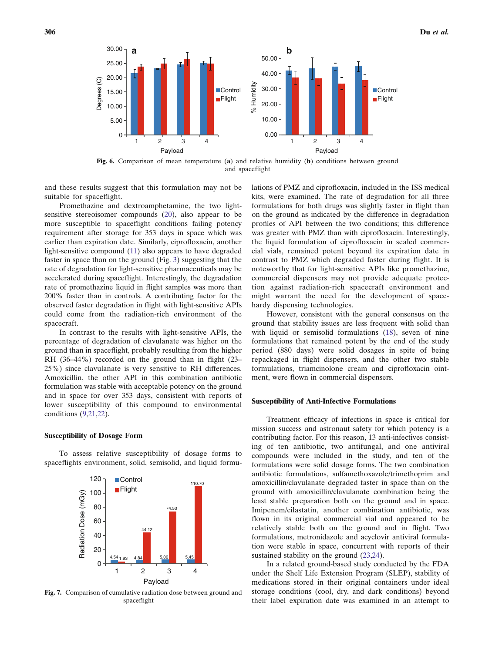<span id="page-7-0"></span>

and spaceflight

and these results suggest that this formulation may not be suitable for spaceflight.

Promethazine and dextroamphetamine, the two lightsensitive stereoisomer compounds [\(20](#page-9-0)), also appear to be more susceptible to spaceflight conditions failing potency requirement after storage for 353 days in space which was earlier than expiration date. Similarly, ciprofloxacin, another light-sensitive compound [\(11](#page-9-0)) also appears to have degraded faster in space than on the ground (Fig. [3](#page-5-0)) suggesting that the rate of degradation for light-sensitive pharmaceuticals may be accelerated during spaceflight. Interestingly, the degradation rate of promethazine liquid in flight samples was more than 200% faster than in controls. A contributing factor for the observed faster degradation in flight with light-sensitive APIs could come from the radiation-rich environment of the spacecraft.

In contrast to the results with light-sensitive APIs, the percentage of degradation of clavulanate was higher on the ground than in spaceflight, probably resulting from the higher RH (36–44%) recorded on the ground than in flight (23– 25%) since clavulanate is very sensitive to RH differences. Amoxicillin, the other API in this combination antibiotic formulation was stable with acceptable potency on the ground and in space for over 353 days, consistent with reports of lower susceptibility of this compound to environmental conditions [\(9,21,22\)](#page-9-0).

#### Susceptibility of Dosage Form

To assess relative susceptibility of dosage forms to spaceflights environment, solid, semisolid, and liquid formu-



Fig. 7. Comparison of cumulative radiation dose between ground and spaceflight

lations of PMZ and ciprofloxacin, included in the ISS medical kits, were examined. The rate of degradation for all three formulations for both drugs was slightly faster in flight than on the ground as indicated by the difference in degradation profiles of API between the two conditions; this difference was greater with PMZ than with ciprofloxacin. Interestingly, the liquid formulation of ciprofloxacin in sealed commercial vials, remained potent beyond its expiration date in contrast to PMZ which degraded faster during flight. It is noteworthy that for light-sensitive APIs like promethazine, commercial dispensers may not provide adequate protection against radiation-rich spacecraft environment and might warrant the need for the development of spacehardy dispensing technologies.

However, consistent with the general consensus on the ground that stability issues are less frequent with solid than with liquid or semisolid formulations [\(18\)](#page-9-0), seven of nine formulations that remained potent by the end of the study period (880 days) were solid dosages in spite of being repackaged in flight dispensers, and the other two stable formulations, triamcinolone cream and ciprofloxacin ointment, were flown in commercial dispensers.

#### Susceptibility of Anti-Infective Formulations

Treatment efficacy of infections in space is critical for mission success and astronaut safety for which potency is a contributing factor. For this reason, 13 anti-infectives consisting of ten antibiotic, two antifungal, and one antiviral compounds were included in the study, and ten of the formulations were solid dosage forms. The two combination antibiotic formulations, sulfamethoxazole/trimethoprim and amoxicillin/clavulanate degraded faster in space than on the ground with amoxicillin/clavulanate combination being the least stable preparation both on the ground and in space. Imipenem/cilastatin, another combination antibiotic, was flown in its original commercial vial and appeared to be relatively stable both on the ground and in flight. Two formulations, metronidazole and acyclovir antiviral formulation were stable in space, concurrent with reports of their sustained stability on the ground ([23](#page-9-0),[24\)](#page-9-0).

In a related ground-based study conducted by the FDA under the Shelf Life Extension Program (SLEP), stability of medications stored in their original containers under ideal storage conditions (cool, dry, and dark conditions) beyond their label expiration date was examined in an attempt to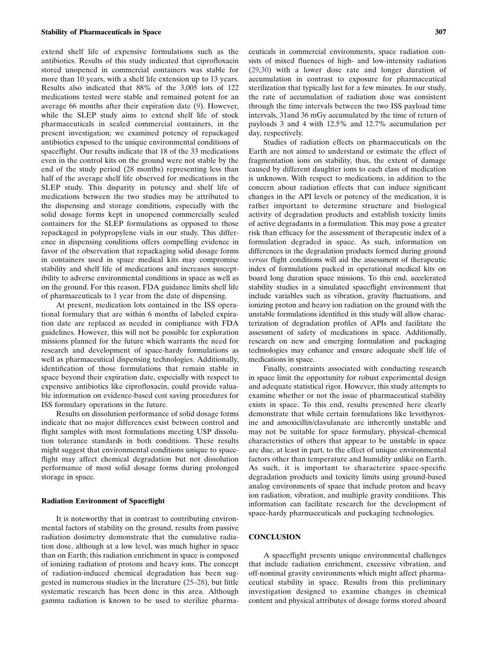extend shelf life of expensive formulations such as the antibiotics. Results of this study indicated that ciprofloxacin stored unopened in commercial containers was stable for more than 10 years, with a shelf life extension up to 13 years. Results also indicated that 88% of the 3,005 lots of 122 medications tested were stable and remained potent for an average 66 months after their expiration date ([9](#page-9-0)). However, while the SLEP study aims to extend shelf life of stock pharmaceuticals in sealed commercial containers, in the present investigation; we examined potency of repackaged antibiotics exposed to the unique environmental conditions of spaceflight. Our results indicate that 18 of the 33 medications even in the control kits on the ground were not stable by the end of the study period (28 months) representing less than half of the average shelf life observed for medications in the SLEP study. This disparity in potency and shelf life of medications between the two studies may be attributed to the dispensing and storage conditions, especially with the solid dosage forms kept in unopened commercially sealed containers for the SLEP formulations as opposed to those repackaged in polypropylene vials in our study. This difference in dispensing conditions offers compelling evidence in favor of the observation that repackaging solid dosage forms in containers used in space medical kits may compromise stability and shelf life of medications and increases susceptibility to adverse environmental conditions in space as well as on the ground. For this reason, FDA guidance limits shelf life of pharmaceuticals to 1 year from the date of dispensing.

At present, medication lots contained in the ISS operational formulary that are within 6 months of labeled expiration date are replaced as needed in compliance with FDA guidelines. However, this will not be possible for exploration missions planned for the future which warrants the need for research and development of space-hardy formulations as well as pharmaceutical dispensing technologies. Additionally, identification of those formulations that remain stable in space beyond their expiration date, especially with respect to expensive antibiotics like ciprofloxacin, could provide valuable information on evidence-based cost saving procedures for ISS formulary operations in the future.

Results on dissolution performance of solid dosage forms indicate that no major differences exist between control and flight samples with most formulations meeting USP dissolution tolerance standards in both conditions. These results might suggest that environmental conditions unique to spaceflight may affect chemical degradation but not dissolution performance of most solid dosage forms during prolonged storage in space.

#### Radiation Environment of Spaceflight

It is noteworthy that in contrast to contributing environmental factors of stability on the ground, results from passive radiation dosimetry demonstrate that the cumulative radiation dose, although at a low level, was much higher in space than on Earth; this radiation enrichment in space is composed of ionizing radiation of protons and heavy ions. The concept of radiation-induced chemical degradation has been suggested in numerous studies in the literature [\(25](#page-9-0)–[28\)](#page-9-0), but little systematic research has been done in this area. Although gamma radiation is known to be used to sterilize pharmaceuticals in commercial environments, space radiation consists of mixed fluences of high- and low-intensity radiation ([29,30](#page-9-0)) with a lower dose rate and longer duration of accumulation in contrast to exposure for pharmaceutical sterilization that typically last for a few minutes. In our study, the rate of accumulation of radiation dose was consistent through the time intervals between the two ISS payload time intervals, 31and 36 mGy accumulated by the time of return of payloads 3 and 4 with 12.5% and 12.7% accumulation per day, respectively.

Studies of radiation effects on pharmaceuticals on the Earth are not aimed to understand or estimate the effect of fragmentation ions on stability, thus, the extent of damage caused by different daughter ions to each class of medication is unknown. With respect to medications, in addition to the concern about radiation effects that can induce significant changes in the API levels or potency of the medication, it is rather important to determine structure and biological activity of degradation products and establish toxicity limits of active degradants in a formulation. This may pose a greater risk than efficacy for the assessment of therapeutic index of a formulation degraded in space. As such, information on differences in the degradation products formed during ground versus flight conditions will aid the assessment of therapeutic index of formulations packed in operational medical kits on board long duration space missions. To this end, accelerated stability studies in a simulated spaceflight environment that include variables such as vibration, gravity fluctuations, and ionizing proton and heavy ion radiation on the ground with the unstable formulations identified in this study will allow characterization of degradation profiles of APIs and facilitate the assessment of safety of medications in space. Additionally, research on new and emerging formulation and packaging technologies may enhance and ensure adequate shelf life of medications in space.

Finally, constraints associated with conducting research in space limit the opportunity for robust experimental design and adequate statistical rigor. However, this study attempts to examine whether or not the issue of pharmaceutical stability exists in space. To this end, results presented here clearly demonstrate that while certain formulations like levothyroxine and amoxicillin/clavulanate are inherently unstable and may not be suitable for space formulary, physical–chemical characteristics of others that appear to be unstable in space are due, at least in part, to the effect of unique environmental factors other than temperature and humidity unlike on Earth. As such, it is important to characterize space-specific degradation products and toxicity limits using ground-based analog environments of space that include proton and heavy ion radiation, vibration, and multiple gravity conditions. This information can facilitate research for the development of space-hardy pharmaceuticals and packaging technologies.

#### **CONCLUSION**

A spaceflight presents unique environmental challenges that include radiation enrichment, excessive vibration, and off-nominal gravity environments which might affect pharmaceutical stability in space. Results from this preliminary investigation designed to examine changes in chemical content and physical attributes of dosage forms stored aboard